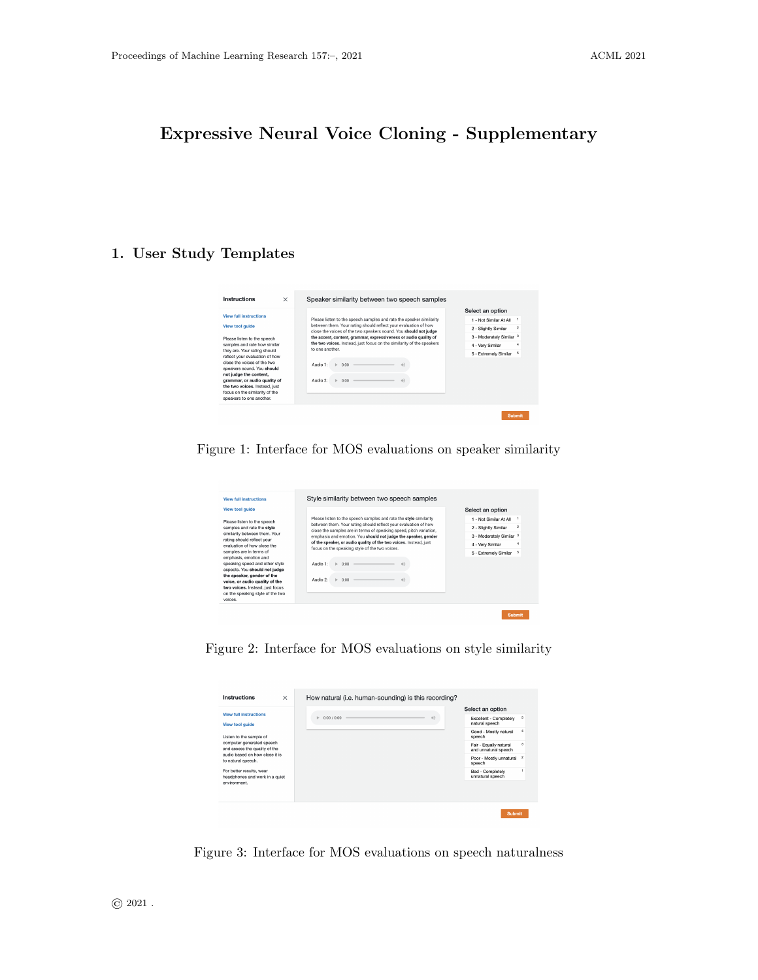# Expressive Neural Voice Cloning - Supplementary

#### 1. User Study Templates



Figure 1: Interface for MOS evaluations on speaker similarity



Figure 2: Interface for MOS evaluations on style similarity

| Instructions<br>$\times$                                   | How natural (i.e. human-sounding) is this recording? |                                                |                  |
|------------------------------------------------------------|------------------------------------------------------|------------------------------------------------|------------------|
| <b>View full instructions</b>                              |                                                      | Select an option                               |                  |
| <b>View tool quide</b>                                     | 0:00 / 0:00<br>b.                                    | Excellent - Completely<br>natural speech       | 5                |
| Listen to the sample of                                    |                                                      | Good - Mostly natural<br>speech                | $\overline{4}$   |
| computer generated speech<br>and assess the quality of the |                                                      | Fair - Equally natural<br>and unnatural speech | я                |
| audio based on how close it is<br>to natural speech.       |                                                      | Poor - Mostly unnatural<br>speech              | $\boldsymbol{2}$ |
| For better results, wear<br>headphones and work in a quiet |                                                      | Bad - Completely<br>unnatural speech           |                  |
| environment                                                |                                                      |                                                |                  |
|                                                            |                                                      |                                                |                  |
|                                                            |                                                      | <b>Submit</b>                                  |                  |

Figure 3: Interface for MOS evaluations on speech naturalness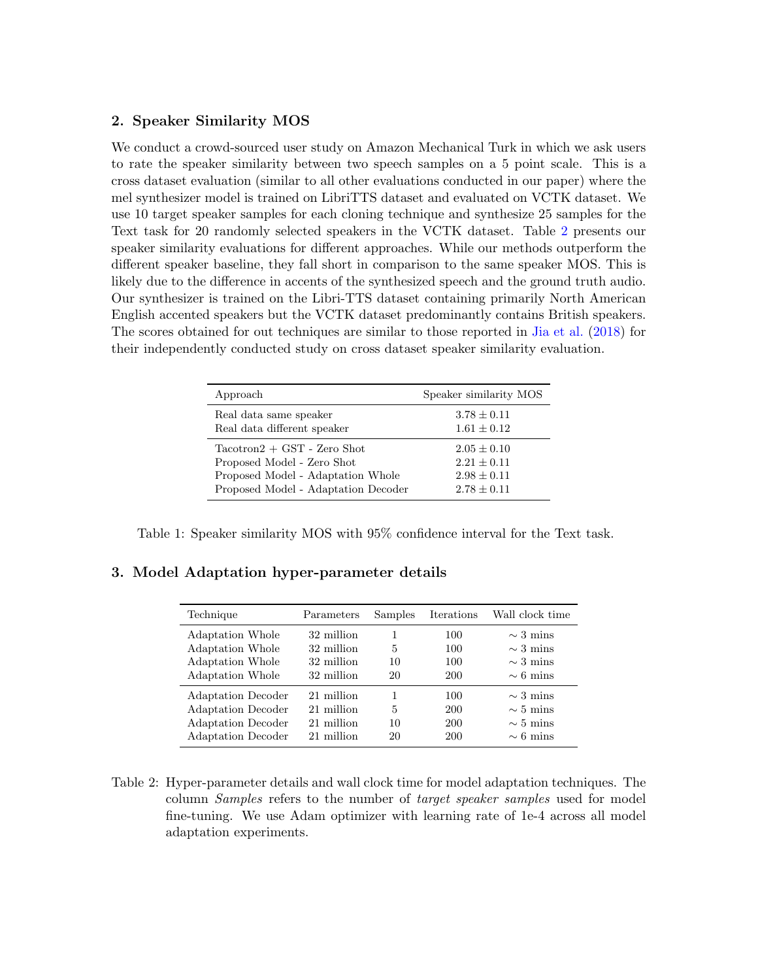### 2. Speaker Similarity MOS

We conduct a crowd-sourced user study on Amazon Mechanical Turk in which we ask users to rate the speaker similarity between two speech samples on a 5 point scale. This is a cross dataset evaluation (similar to all other evaluations conducted in our paper) where the mel synthesizer model is trained on LibriTTS dataset and evaluated on VCTK dataset. We use 10 target speaker samples for each cloning technique and synthesize 25 samples for the Text task for 20 randomly selected speakers in the VCTK dataset. Table [2](#page-1-0) presents our speaker similarity evaluations for different approaches. While our methods outperform the different speaker baseline, they fall short in comparison to the same speaker MOS. This is likely due to the difference in accents of the synthesized speech and the ground truth audio. Our synthesizer is trained on the Libri-TTS dataset containing primarily North American English accented speakers but the VCTK dataset predominantly contains British speakers. The scores obtained for out techniques are similar to those reported in [Jia et al.](#page-2-0) [\(2018\)](#page-2-0) for their independently conducted study on cross dataset speaker similarity evaluation.

| Approach                            | Speaker similarity MOS |
|-------------------------------------|------------------------|
| Real data same speaker              | $3.78 \pm 0.11$        |
| Real data different speaker         | $1.61 \pm 0.12$        |
| $Tactor1 + GST - Zero Shot$         | $2.05 \pm 0.10$        |
| Proposed Model - Zero Shot          | $2.21 \pm 0.11$        |
| Proposed Model - Adaptation Whole   | $2.98 \pm 0.11$        |
| Proposed Model - Adaptation Decoder | $2.78 \pm 0.11$        |

Table 1: Speaker similarity MOS with 95% confidence interval for the Text task.

### 3. Model Adaptation hyper-parameter details

| Technique                                                                                                 | Parameters                                           | Samples            | Iterations               | Wall clock time                                                  |
|-----------------------------------------------------------------------------------------------------------|------------------------------------------------------|--------------------|--------------------------|------------------------------------------------------------------|
| Adaptation Whole<br>Adaptation Whole<br>Adaptation Whole<br>Adaptation Whole                              | 32 million<br>32 million<br>32 million<br>32 million | 1<br>5<br>10<br>20 | 100<br>100<br>100<br>200 | $\sim$ 3 mins<br>$\sim$ 3 mins<br>$\sim$ 3 mins<br>$\sim$ 6 mins |
| Adaptation Decoder<br><b>Adaptation Decoder</b><br><b>Adaptation Decoder</b><br><b>Adaptation Decoder</b> | 21 million<br>21 million<br>21 million<br>21 million | 5<br>10<br>20      | 100<br>200<br>200<br>200 | $\sim$ 3 mins<br>$\sim$ 5 mins<br>$\sim$ 5 mins<br>$\sim$ 6 mins |

<span id="page-1-0"></span>Table 2: Hyper-parameter details and wall clock time for model adaptation techniques. The column Samples refers to the number of target speaker samples used for model fine-tuning. We use Adam optimizer with learning rate of 1e-4 across all model adaptation experiments.